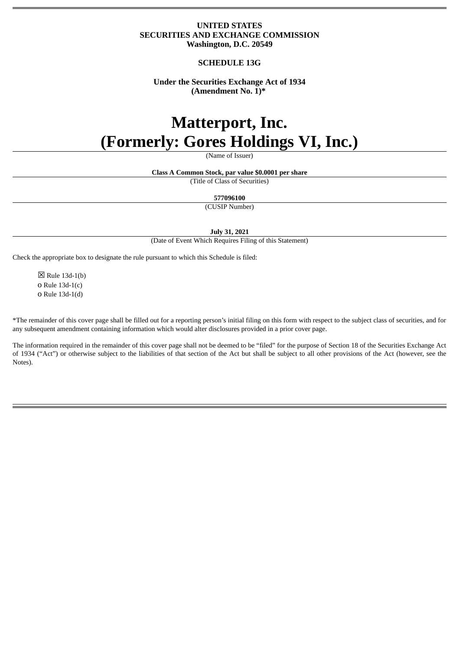# **UNITED STATES SECURITIES AND EXCHANGE COMMISSION Washington, D.C. 20549**

# **SCHEDULE 13G**

# **Under the Securities Exchange Act of 1934 (Amendment No. 1)\***

# **Matterport, Inc. (Formerly: Gores Holdings VI, Inc.)**

(Name of Issuer)

**Class A Common Stock, par value \$0.0001 per share**

(Title of Class of Securities)

**577096100**

(CUSIP Number)

**July 31, 2021**

(Date of Event Which Requires Filing of this Statement)

Check the appropriate box to designate the rule pursuant to which this Schedule is filed:

☒ Rule 13d-1(b) o Rule 13d-1(c) o Rule 13d-1(d)

\*The remainder of this cover page shall be filled out for a reporting person's initial filing on this form with respect to the subject class of securities, and for any subsequent amendment containing information which would alter disclosures provided in a prior cover page.

The information required in the remainder of this cover page shall not be deemed to be "filed" for the purpose of Section 18 of the Securities Exchange Act of 1934 ("Act") or otherwise subject to the liabilities of that section of the Act but shall be subject to all other provisions of the Act (however, see the Notes).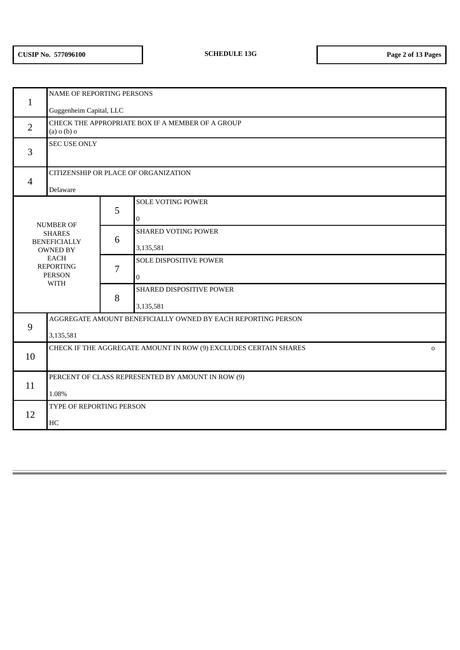| $\mathbf{1}$                      | <b>NAME OF REPORTING PERSONS</b>                                                |   |                               |  |  |  |
|-----------------------------------|---------------------------------------------------------------------------------|---|-------------------------------|--|--|--|
|                                   | Guggenheim Capital, LLC                                                         |   |                               |  |  |  |
| $\overline{2}$                    | CHECK THE APPROPRIATE BOX IF A MEMBER OF A GROUP<br>$(a)$ o $(b)$ o             |   |                               |  |  |  |
| 3                                 | <b>SEC USE ONLY</b>                                                             |   |                               |  |  |  |
| $\overline{4}$                    | CITIZENSHIP OR PLACE OF ORGANIZATION                                            |   |                               |  |  |  |
|                                   | Delaware                                                                        |   |                               |  |  |  |
|                                   |                                                                                 | 5 | <b>SOLE VOTING POWER</b>      |  |  |  |
| <b>NUMBER OF</b><br><b>SHARES</b> |                                                                                 |   | $\boldsymbol{0}$              |  |  |  |
|                                   |                                                                                 | 6 | <b>SHARED VOTING POWER</b>    |  |  |  |
|                                   | <b>BENEFICIALLY</b><br><b>OWNED BY</b>                                          |   | 3,135,581                     |  |  |  |
|                                   | <b>EACH</b><br><b>REPORTING</b>                                                 | 7 | <b>SOLE DISPOSITIVE POWER</b> |  |  |  |
|                                   | <b>PERSON</b><br><b>WITH</b>                                                    |   | $\overline{0}$                |  |  |  |
|                                   |                                                                                 |   | SHARED DISPOSITIVE POWER      |  |  |  |
|                                   |                                                                                 |   | 3,135,581                     |  |  |  |
| 9                                 | AGGREGATE AMOUNT BENEFICIALLY OWNED BY EACH REPORTING PERSON                    |   |                               |  |  |  |
|                                   | 3,135,581                                                                       |   |                               |  |  |  |
|                                   | CHECK IF THE AGGREGATE AMOUNT IN ROW (9) EXCLUDES CERTAIN SHARES<br>$\mathbf 0$ |   |                               |  |  |  |
| 10                                |                                                                                 |   |                               |  |  |  |
| 11                                | PERCENT OF CLASS REPRESENTED BY AMOUNT IN ROW (9)                               |   |                               |  |  |  |
|                                   | 1.08%                                                                           |   |                               |  |  |  |
| 12                                | TYPE OF REPORTING PERSON                                                        |   |                               |  |  |  |
|                                   | HC                                                                              |   |                               |  |  |  |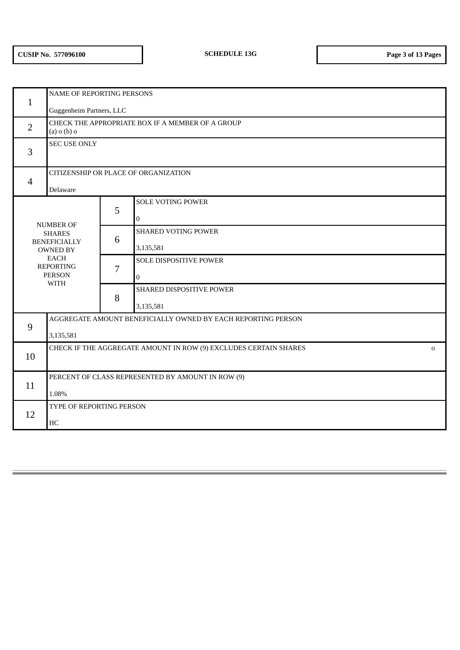| $\mathbf{1}$   | <b>NAME OF REPORTING PERSONS</b>                                                                                                               |   |                            |  |  |  |
|----------------|------------------------------------------------------------------------------------------------------------------------------------------------|---|----------------------------|--|--|--|
|                | Guggenheim Partners, LLC                                                                                                                       |   |                            |  |  |  |
| $\overline{2}$ | CHECK THE APPROPRIATE BOX IF A MEMBER OF A GROUP<br>$(a)$ o $(b)$ o                                                                            |   |                            |  |  |  |
| 3              | <b>SEC USE ONLY</b>                                                                                                                            |   |                            |  |  |  |
| $\overline{4}$ | CITIZENSHIP OR PLACE OF ORGANIZATION                                                                                                           |   |                            |  |  |  |
|                | Delaware                                                                                                                                       |   |                            |  |  |  |
|                |                                                                                                                                                | 5 | <b>SOLE VOTING POWER</b>   |  |  |  |
|                |                                                                                                                                                |   | $\boldsymbol{0}$           |  |  |  |
|                | <b>NUMBER OF</b><br><b>SHARES</b><br><b>BENEFICIALLY</b><br><b>OWNED BY</b><br><b>EACH</b><br><b>REPORTING</b><br><b>PERSON</b><br><b>WITH</b> |   | <b>SHARED VOTING POWER</b> |  |  |  |
|                |                                                                                                                                                |   | 3,135,581                  |  |  |  |
|                |                                                                                                                                                |   | SOLE DISPOSITIVE POWER     |  |  |  |
|                |                                                                                                                                                |   | $\boldsymbol{0}$           |  |  |  |
|                |                                                                                                                                                |   | SHARED DISPOSITIVE POWER   |  |  |  |
|                |                                                                                                                                                | 8 | 3,135,581                  |  |  |  |
| 9              | AGGREGATE AMOUNT BENEFICIALLY OWNED BY EACH REPORTING PERSON                                                                                   |   |                            |  |  |  |
|                | 3,135,581                                                                                                                                      |   |                            |  |  |  |
| 10             | CHECK IF THE AGGREGATE AMOUNT IN ROW (9) EXCLUDES CERTAIN SHARES<br>$\mathbf 0$                                                                |   |                            |  |  |  |
|                |                                                                                                                                                |   |                            |  |  |  |
| 11             | PERCENT OF CLASS REPRESENTED BY AMOUNT IN ROW (9)                                                                                              |   |                            |  |  |  |
|                | 1.08%                                                                                                                                          |   |                            |  |  |  |
| 12             | TYPE OF REPORTING PERSON                                                                                                                       |   |                            |  |  |  |
|                | HC                                                                                                                                             |   |                            |  |  |  |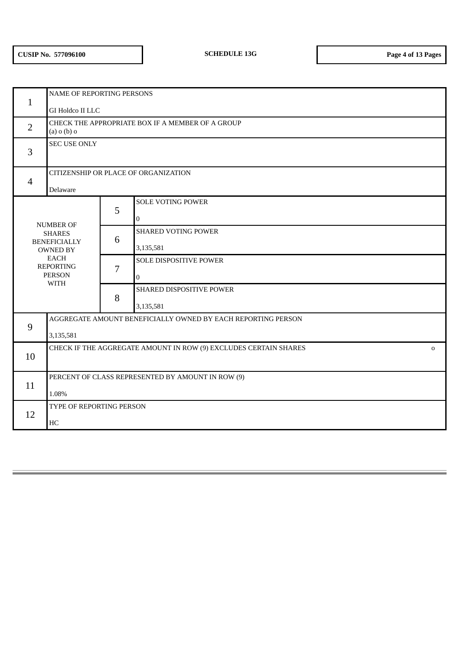|                  | <b>NAME OF REPORTING PERSONS</b>                                                |   |                               |  |  |  |
|------------------|---------------------------------------------------------------------------------|---|-------------------------------|--|--|--|
| $\mathbf{1}$     | GI Holdco II LLC                                                                |   |                               |  |  |  |
| $\overline{2}$   | CHECK THE APPROPRIATE BOX IF A MEMBER OF A GROUP<br>$(a)$ o $(b)$ o             |   |                               |  |  |  |
| 3                | <b>SEC USE ONLY</b>                                                             |   |                               |  |  |  |
| $\overline{4}$   | CITIZENSHIP OR PLACE OF ORGANIZATION                                            |   |                               |  |  |  |
|                  | Delaware                                                                        |   |                               |  |  |  |
|                  |                                                                                 | 5 | <b>SOLE VOTING POWER</b>      |  |  |  |
| <b>NUMBER OF</b> |                                                                                 |   | $\boldsymbol{0}$              |  |  |  |
|                  | <b>SHARES</b><br><b>BENEFICIALLY</b><br><b>OWNED BY</b>                         |   | <b>SHARED VOTING POWER</b>    |  |  |  |
|                  |                                                                                 |   | 3,135,581                     |  |  |  |
|                  | <b>EACH</b><br><b>REPORTING</b>                                                 | 7 | <b>SOLE DISPOSITIVE POWER</b> |  |  |  |
|                  | <b>PERSON</b><br><b>WITH</b>                                                    |   | $\overline{0}$                |  |  |  |
|                  |                                                                                 |   | SHARED DISPOSITIVE POWER      |  |  |  |
|                  |                                                                                 | 8 | 3,135,581                     |  |  |  |
| 9                | AGGREGATE AMOUNT BENEFICIALLY OWNED BY EACH REPORTING PERSON                    |   |                               |  |  |  |
|                  | 3,135,581                                                                       |   |                               |  |  |  |
| 10               | CHECK IF THE AGGREGATE AMOUNT IN ROW (9) EXCLUDES CERTAIN SHARES<br>$\mathbf 0$ |   |                               |  |  |  |
|                  |                                                                                 |   |                               |  |  |  |
| 11               | PERCENT OF CLASS REPRESENTED BY AMOUNT IN ROW (9)                               |   |                               |  |  |  |
|                  | 1.08%                                                                           |   |                               |  |  |  |
| 12               | TYPE OF REPORTING PERSON                                                        |   |                               |  |  |  |
|                  | HC                                                                              |   |                               |  |  |  |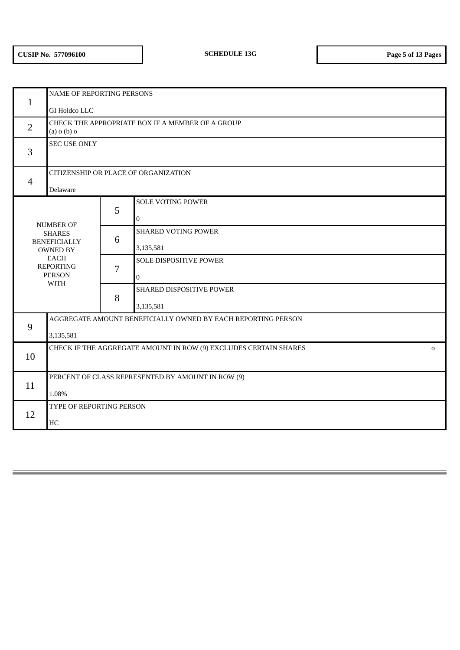| $\mathbf{1}$     | <b>NAME OF REPORTING PERSONS</b>                                                |   |                            |  |  |  |
|------------------|---------------------------------------------------------------------------------|---|----------------------------|--|--|--|
|                  | GI Holdco LLC                                                                   |   |                            |  |  |  |
| $\overline{2}$   | CHECK THE APPROPRIATE BOX IF A MEMBER OF A GROUP<br>$(a)$ o $(b)$ o             |   |                            |  |  |  |
| 3                | <b>SEC USE ONLY</b>                                                             |   |                            |  |  |  |
| $\overline{4}$   | CITIZENSHIP OR PLACE OF ORGANIZATION                                            |   |                            |  |  |  |
|                  | Delaware                                                                        |   |                            |  |  |  |
|                  |                                                                                 | 5 | <b>SOLE VOTING POWER</b>   |  |  |  |
| <b>NUMBER OF</b> |                                                                                 |   | $\boldsymbol{0}$           |  |  |  |
|                  | <b>SHARES</b><br><b>BENEFICIALLY</b><br><b>OWNED BY</b>                         |   | <b>SHARED VOTING POWER</b> |  |  |  |
|                  |                                                                                 |   | 3,135,581                  |  |  |  |
|                  | <b>EACH</b><br><b>REPORTING</b>                                                 | 7 | SOLE DISPOSITIVE POWER     |  |  |  |
|                  | <b>PERSON</b><br><b>WITH</b>                                                    |   | $\boldsymbol{0}$           |  |  |  |
|                  |                                                                                 |   | SHARED DISPOSITIVE POWER   |  |  |  |
|                  |                                                                                 | 8 | 3,135,581                  |  |  |  |
| 9                | AGGREGATE AMOUNT BENEFICIALLY OWNED BY EACH REPORTING PERSON                    |   |                            |  |  |  |
|                  | 3,135,581                                                                       |   |                            |  |  |  |
| 10               | CHECK IF THE AGGREGATE AMOUNT IN ROW (9) EXCLUDES CERTAIN SHARES<br>$\mathbf 0$ |   |                            |  |  |  |
|                  |                                                                                 |   |                            |  |  |  |
| 11               | PERCENT OF CLASS REPRESENTED BY AMOUNT IN ROW (9)                               |   |                            |  |  |  |
|                  | 1.08%                                                                           |   |                            |  |  |  |
| 12               | TYPE OF REPORTING PERSON                                                        |   |                            |  |  |  |
|                  | HC                                                                              |   |                            |  |  |  |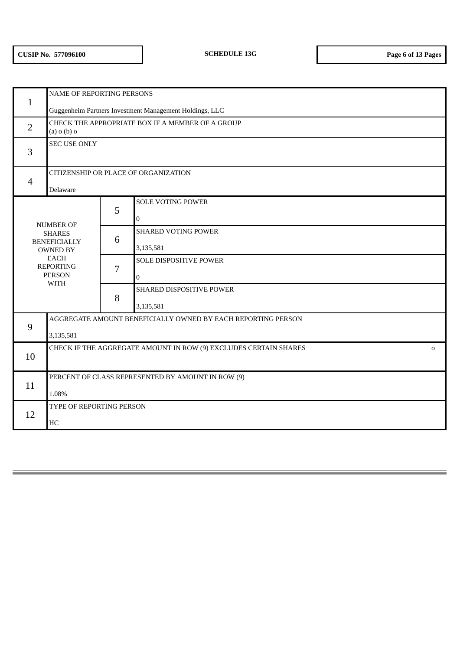|                  | NAME OF REPORTING PERSONS                                             |   |                            |  |  |
|------------------|-----------------------------------------------------------------------|---|----------------------------|--|--|
| $\mathbf{1}$     | Guggenheim Partners Investment Management Holdings, LLC               |   |                            |  |  |
| $\overline{2}$   | CHECK THE APPROPRIATE BOX IF A MEMBER OF A GROUP<br>$(a)$ o $(b)$ o   |   |                            |  |  |
| 3                | <b>SEC USE ONLY</b>                                                   |   |                            |  |  |
| $\overline{4}$   | CITIZENSHIP OR PLACE OF ORGANIZATION                                  |   |                            |  |  |
|                  | Delaware                                                              |   |                            |  |  |
|                  |                                                                       | 5 | <b>SOLE VOTING POWER</b>   |  |  |
| <b>NUMBER OF</b> |                                                                       |   | 0                          |  |  |
|                  | <b>SHARES</b><br><b>BENEFICIALLY</b><br><b>OWNED BY</b>               |   | <b>SHARED VOTING POWER</b> |  |  |
|                  |                                                                       |   | 3,135,581                  |  |  |
|                  | <b>EACH</b><br><b>REPORTING</b>                                       | 7 | SOLE DISPOSITIVE POWER     |  |  |
|                  | <b>PERSON</b><br><b>WITH</b>                                          |   | $\overline{0}$             |  |  |
|                  |                                                                       |   | SHARED DISPOSITIVE POWER   |  |  |
|                  |                                                                       |   | 3,135,581                  |  |  |
| 9                | AGGREGATE AMOUNT BENEFICIALLY OWNED BY EACH REPORTING PERSON          |   |                            |  |  |
|                  | 3,135,581                                                             |   |                            |  |  |
| 10               | CHECK IF THE AGGREGATE AMOUNT IN ROW (9) EXCLUDES CERTAIN SHARES<br>0 |   |                            |  |  |
|                  |                                                                       |   |                            |  |  |
| 11               | PERCENT OF CLASS REPRESENTED BY AMOUNT IN ROW (9)                     |   |                            |  |  |
|                  | 1.08%                                                                 |   |                            |  |  |
| 12               | TYPE OF REPORTING PERSON                                              |   |                            |  |  |
|                  | $\rm HC$                                                              |   |                            |  |  |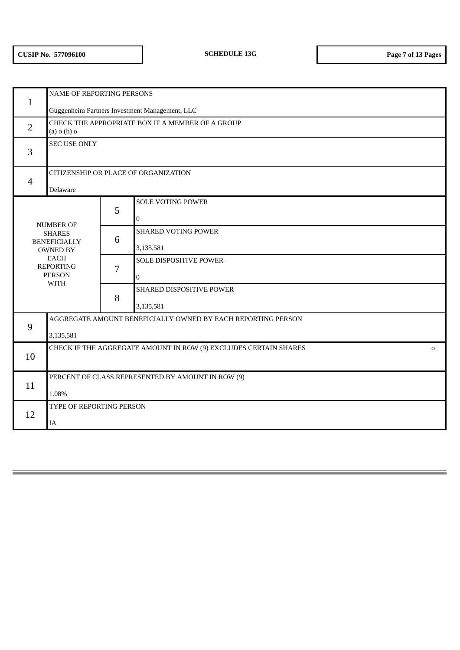|                  | NAME OF REPORTING PERSONS                                                       |   |                               |  |  |
|------------------|---------------------------------------------------------------------------------|---|-------------------------------|--|--|
| $\mathbf{1}$     | Guggenheim Partners Investment Management, LLC                                  |   |                               |  |  |
| $\overline{2}$   | CHECK THE APPROPRIATE BOX IF A MEMBER OF A GROUP<br>$(a)$ o $(b)$ o             |   |                               |  |  |
| 3                | <b>SEC USE ONLY</b>                                                             |   |                               |  |  |
| $\overline{4}$   | CITIZENSHIP OR PLACE OF ORGANIZATION                                            |   |                               |  |  |
|                  | Delaware                                                                        |   |                               |  |  |
|                  |                                                                                 | 5 | <b>SOLE VOTING POWER</b>      |  |  |
| <b>NUMBER OF</b> |                                                                                 |   | $\mathbf 0$                   |  |  |
|                  | <b>SHARES</b><br><b>BENEFICIALLY</b><br><b>OWNED BY</b>                         |   | <b>SHARED VOTING POWER</b>    |  |  |
|                  |                                                                                 |   | 3,135,581                     |  |  |
|                  | <b>EACH</b><br><b>REPORTING</b>                                                 | 7 | <b>SOLE DISPOSITIVE POWER</b> |  |  |
|                  | <b>PERSON</b><br><b>WITH</b>                                                    |   | $\mathbf{0}$                  |  |  |
|                  |                                                                                 |   | SHARED DISPOSITIVE POWER      |  |  |
|                  |                                                                                 | 8 | 3,135,581                     |  |  |
| 9                | AGGREGATE AMOUNT BENEFICIALLY OWNED BY EACH REPORTING PERSON                    |   |                               |  |  |
|                  | 3,135,581                                                                       |   |                               |  |  |
| 10               | CHECK IF THE AGGREGATE AMOUNT IN ROW (9) EXCLUDES CERTAIN SHARES<br>$\mathbf 0$ |   |                               |  |  |
|                  |                                                                                 |   |                               |  |  |
| 11               | PERCENT OF CLASS REPRESENTED BY AMOUNT IN ROW (9)                               |   |                               |  |  |
|                  | 1.08%                                                                           |   |                               |  |  |
| 12               | TYPE OF REPORTING PERSON                                                        |   |                               |  |  |
|                  | IA                                                                              |   |                               |  |  |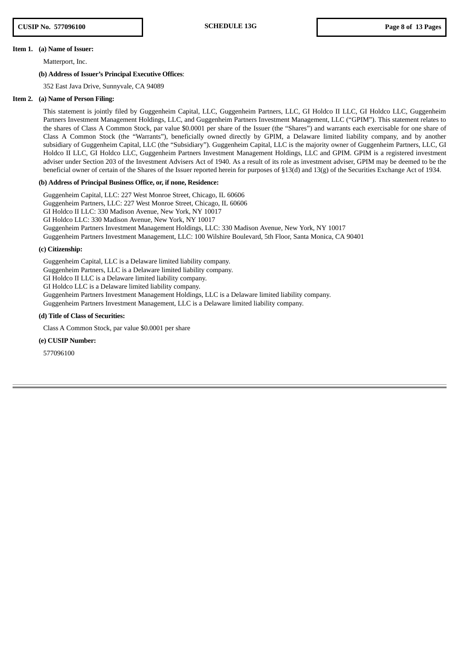#### **Item 1. (a) Name of Issuer:**

Matterport, Inc.

## **(b) Address of Issuer's Principal Executive Offices**:

352 East Java Drive, Sunnyvale, CA 94089

#### **Item 2. (a) Name of Person Filing:**

This statement is jointly filed by Guggenheim Capital, LLC, Guggenheim Partners, LLC, GI Holdco II LLC, GI Holdco LLC, Guggenheim Partners Investment Management Holdings, LLC, and Guggenheim Partners Investment Management, LLC ("GPIM"). This statement relates to the shares of Class A Common Stock, par value \$0.0001 per share of the Issuer (the "Shares") and warrants each exercisable for one share of Class A Common Stock (the "Warrants"), beneficially owned directly by GPIM, a Delaware limited liability company, and by another subsidiary of Guggenheim Capital, LLC (the "Subsidiary"). Guggenheim Capital, LLC is the majority owner of Guggenheim Partners, LLC, GI Holdco II LLC, GI Holdco LLC, Guggenheim Partners Investment Management Holdings, LLC and GPIM. GPIM is a registered investment adviser under Section 203 of the Investment Advisers Act of 1940. As a result of its role as investment adviser, GPIM may be deemed to be the beneficial owner of certain of the Shares of the Issuer reported herein for purposes of §13(d) and 13(g) of the Securities Exchange Act of 1934.

#### **(b) Address of Principal Business Office, or, if none, Residence:**

Guggenheim Capital, LLC: 227 West Monroe Street, Chicago, IL 60606 Guggenheim Partners, LLC: 227 West Monroe Street, Chicago, IL 60606 GI Holdco II LLC: 330 Madison Avenue, New York, NY 10017 GI Holdco LLC: 330 Madison Avenue, New York, NY 10017 Guggenheim Partners Investment Management Holdings, LLC: 330 Madison Avenue, New York, NY 10017 Guggenheim Partners Investment Management, LLC: 100 Wilshire Boulevard, 5th Floor, Santa Monica, CA 90401

## **(c) Citizenship:**

Guggenheim Capital, LLC is a Delaware limited liability company.

Guggenheim Partners, LLC is a Delaware limited liability company.

GI Holdco II LLC is a Delaware limited liability company.

GI Holdco LLC is a Delaware limited liability company.

Guggenheim Partners Investment Management Holdings, LLC is a Delaware limited liability company.

Guggenheim Partners Investment Management, LLC is a Delaware limited liability company.

## **(d) Title of Class of Securities:**

Class A Common Stock, par value \$0.0001 per share

## **(e) CUSIP Number:**

577096100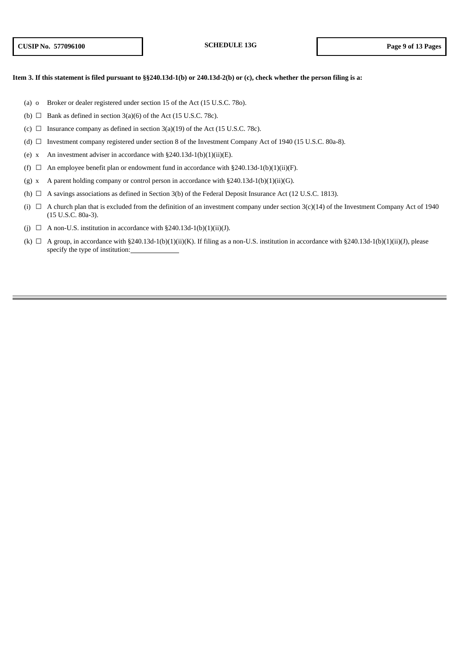## Item 3. If this statement is filed pursuant to §§240.13d-1(b) or 240.13d-2(b) or (c), check whether the person filing is a:

- (a) o Broker or dealer registered under section 15 of the Act (15 U.S.C. 78o).
- (b)  $\Box$  Bank as defined in section 3(a)(6) of the Act (15 U.S.C. 78c).
- (c)  $\Box$  Insurance company as defined in section 3(a)(19) of the Act (15 U.S.C. 78c).
- (d) ☐ Investment company registered under section 8 of the Investment Company Act of 1940 (15 U.S.C. 80a-8).
- (e) x An investment adviser in accordance with  $\S 240.13d-1(b)(1)(ii)(E)$ .
- (f)  $\Box$  An employee benefit plan or endowment fund in accordance with §240.13d-1(b)(1)(ii)(F).
- (g) x A parent holding company or control person in accordance with  $\S 240.13d-1(b)(1)(ii)(G)$ .
- (h)  $\Box$  A savings associations as defined in Section 3(b) of the Federal Deposit Insurance Act (12 U.S.C. 1813).
- (i)  $\Box$  A church plan that is excluded from the definition of an investment company under section 3(c)(14) of the Investment Company Act of 1940 (15 U.S.C. 80a-3).
- (i)  $\Box$  A non-U.S. institution in accordance with §240.13d-1(b)(1)(ii)(J).
- (k)  $\Box$  A group, in accordance with §240.13d-1(b)(1)(ii)(K). If filing as a non-U.S. institution in accordance with §240.13d-1(b)(1)(iii)(J), please specify the type of institution: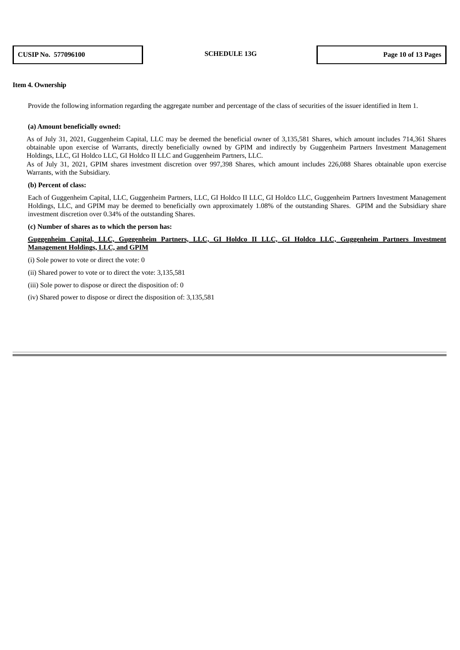## **Item 4. Ownership**

Provide the following information regarding the aggregate number and percentage of the class of securities of the issuer identified in Item 1.

#### **(a) Amount beneficially owned:**

As of July 31, 2021, Guggenheim Capital, LLC may be deemed the beneficial owner of 3,135,581 Shares, which amount includes 714,361 Shares obtainable upon exercise of Warrants, directly beneficially owned by GPIM and indirectly by Guggenheim Partners Investment Management Holdings, LLC, GI Holdco LLC, GI Holdco II LLC and Guggenheim Partners, LLC.

As of July 31, 2021, GPIM shares investment discretion over 997,398 Shares, which amount includes 226,088 Shares obtainable upon exercise Warrants, with the Subsidiary.

#### **(b) Percent of class:**

Each of Guggenheim Capital, LLC, Guggenheim Partners, LLC, GI Holdco II LLC, GI Holdco LLC, Guggenheim Partners Investment Management Holdings, LLC, and GPIM may be deemed to beneficially own approximately 1.08% of the outstanding Shares. GPIM and the Subsidiary share investment discretion over 0.34% of the outstanding Shares.

#### **(c) Number of shares as to which the person has:**

Guggenheim Capital, LLC, Guggenheim Partners, LLC, GI Holdco II LLC, GI Holdco LLC, Guggenheim Partners Investment **Management Holdings, LLC, and GPIM**

(i) Sole power to vote or direct the vote: 0

(ii) Shared power to vote or to direct the vote: 3,135,581

(iii) Sole power to dispose or direct the disposition of: 0

(iv) Shared power to dispose or direct the disposition of: 3,135,581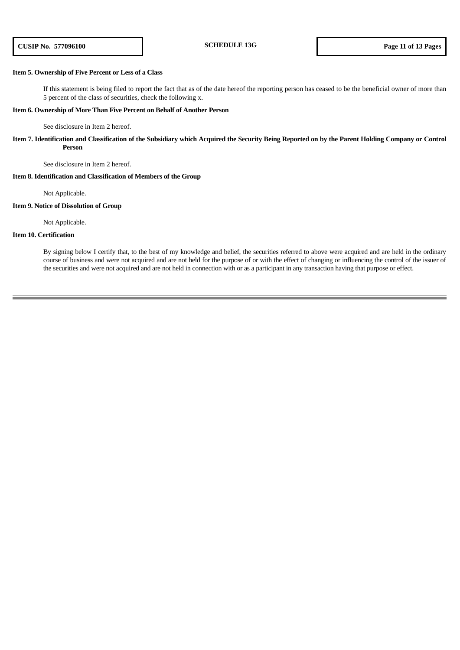## **Item 5. Ownership of Five Percent or Less of a Class**

If this statement is being filed to report the fact that as of the date hereof the reporting person has ceased to be the beneficial owner of more than 5 percent of the class of securities, check the following x.

## **Item 6. Ownership of More Than Five Percent on Behalf of Another Person**

See disclosure in Item 2 hereof.

Item 7. Identification and Classification of the Subsidiary which Acquired the Security Being Reported on by the Parent Holding Company or Control **Person**

See disclosure in Item 2 hereof.

## **Item 8. Identification and Classification of Members of the Group**

Not Applicable.

#### **Item 9. Notice of Dissolution of Group**

Not Applicable.

## **Item 10. Certification**

By signing below I certify that, to the best of my knowledge and belief, the securities referred to above were acquired and are held in the ordinary course of business and were not acquired and are not held for the purpose of or with the effect of changing or influencing the control of the issuer of the securities and were not acquired and are not held in connection with or as a participant in any transaction having that purpose or effect.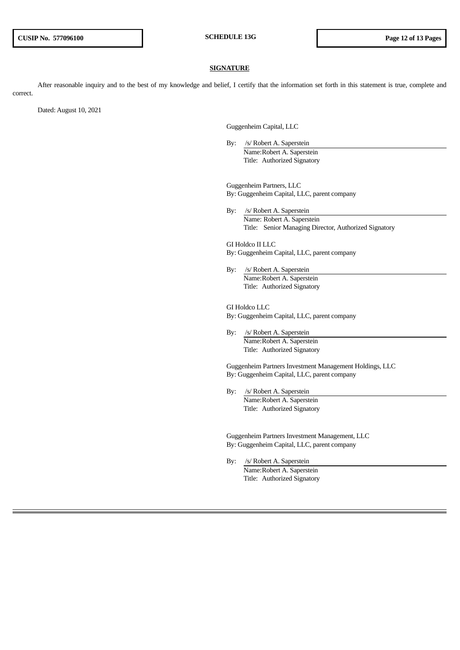#### **SIGNATURE**

After reasonable inquiry and to the best of my knowledge and belief, I certify that the information set forth in this statement is true, complete and correct.

Dated: August 10, 2021

Guggenheim Capital, LLC

By: /s/ Robert A. Saperstein Name:Robert A. Saperstein Title: Authorized Signatory

Guggenheim Partners, LLC By: Guggenheim Capital, LLC, parent company

By: /s/ Robert A. Saperstein Name: Robert A. Saperstein Title: Senior Managing Director, Authorized Signatory

GI Holdco II LLC By: Guggenheim Capital, LLC, parent company

By: /s/ Robert A. Saperstein Name:Robert A. Saperstein Title: Authorized Signatory

GI Holdco LLC By: Guggenheim Capital, LLC, parent company

By: /s/ Robert A. Saperstein Name:Robert A. Saperstein Title: Authorized Signatory

Guggenheim Partners Investment Management Holdings, LLC By: Guggenheim Capital, LLC, parent company

By: /s/ Robert A. Saperstein Name:Robert A. Saperstein Title: Authorized Signatory

Guggenheim Partners Investment Management, LLC By: Guggenheim Capital, LLC, parent company

By: /s/ Robert A. Saperstein Name:Robert A. Saperstein Title: Authorized Signatory